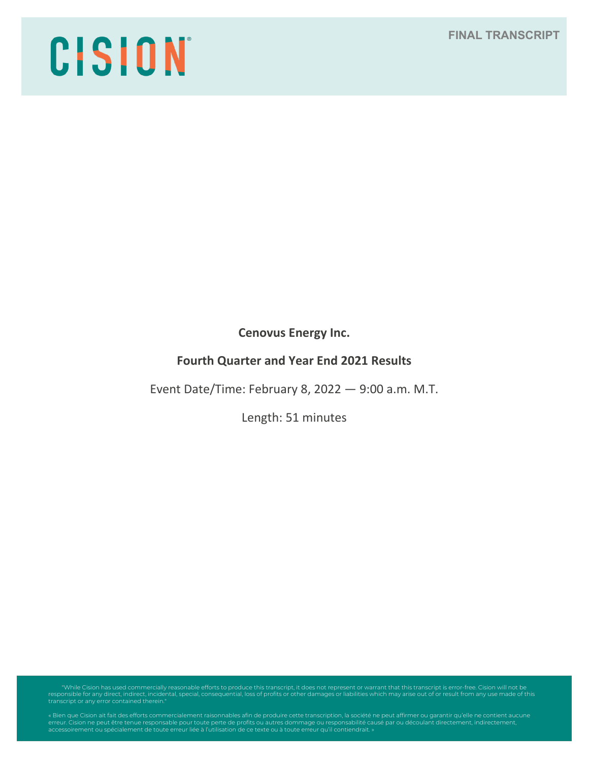**FINAL TRANSCRIPT**

# CISION

**Cenovus Energy Inc.**

# **Fourth Quarter and Year End 2021 Results**

Event Date/Time: February 8, 2022 — 9:00 a.m. M.T.

Length: 51 minutes

"While Cision has used commercially reasonable efforts to produce this transcript, it does not represent or warrant that this transcript is error-free. Cision will not be<br>responsible for any direct, indirect, incidental, s

erreur. Cision ne peut être tenue responsable pour toute perte de profits ou autres dommage ou responsabilité causé par ou découlant directement, indirectement,<br>accessoirement ou spécialement de toute erreur liée à l'utili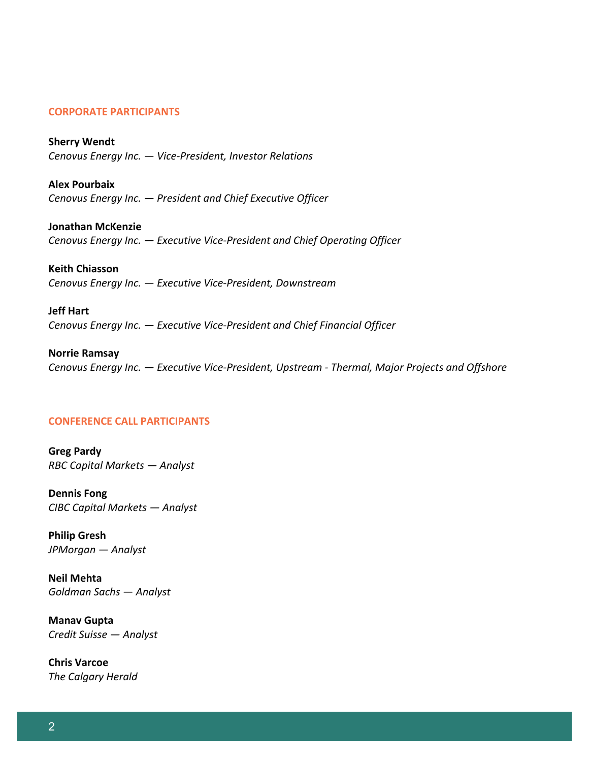#### **CORPORATE PARTICIPANTS**

**Sherry Wendt** *Cenovus Energy Inc. — Vice-President, Investor Relations*

**Alex Pourbaix** *Cenovus Energy Inc. — President and Chief Executive Officer* 

**Jonathan McKenzie** *Cenovus Energy Inc. — Executive Vice-President and Chief Operating Officer*

**Keith Chiasson** *Cenovus Energy Inc. — Executive Vice-President, Downstream*

**Jeff Hart** *Cenovus Energy Inc. — Executive Vice-President and Chief Financial Officer*

**Norrie Ramsay** *Cenovus Energy Inc. — Executive Vice-President, Upstream - Thermal, Major Projects and Offshore*

#### **CONFERENCE CALL PARTICIPANTS**

**Greg Pardy** *RBC Capital Markets — Analyst*

**Dennis Fong** *CIBC Capital Markets — Analyst*

**Philip Gresh** *JPMorgan — Analyst*

**Neil Mehta** *Goldman Sachs — Analyst*

**Manav Gupta**  *Credit Suisse — Analyst*

**Chris Varcoe** *The Calgary Herald*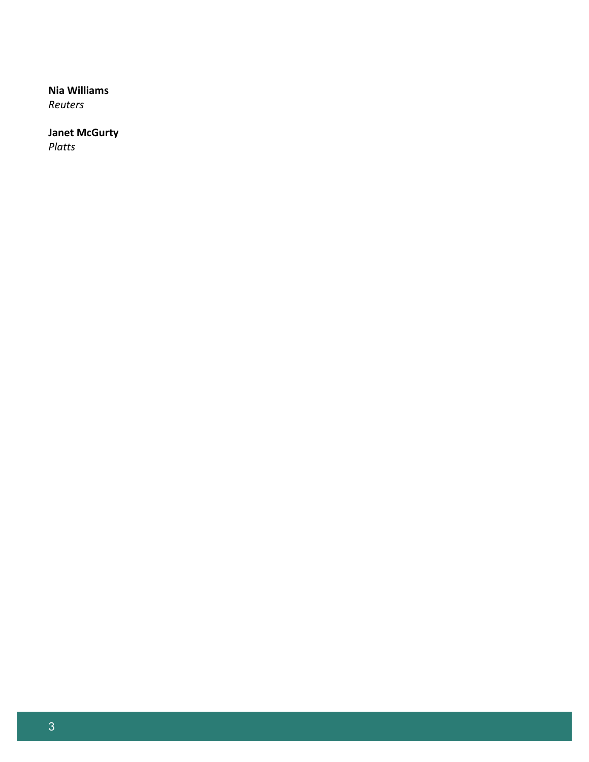# **Nia Williams**

*Reuters*

# **Janet McGurty**

*Platts*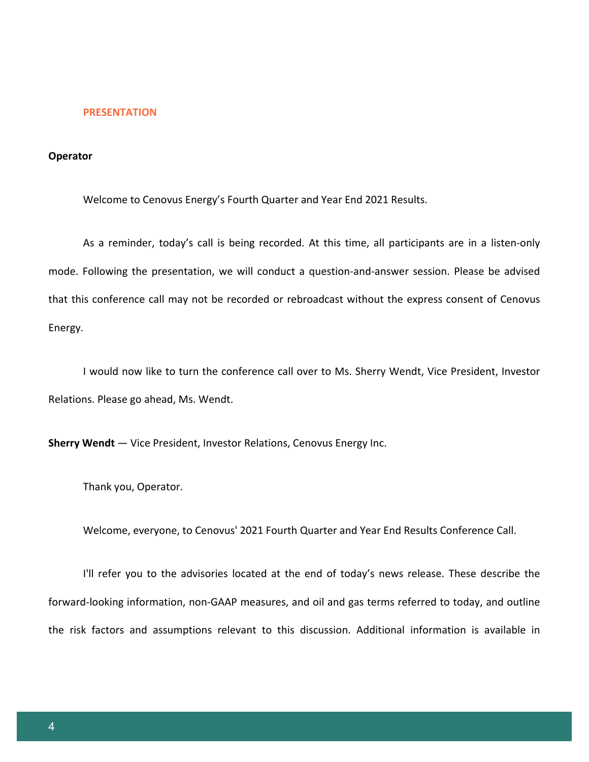#### **PRESENTATION**

#### **Operator**

Welcome to Cenovus Energy's Fourth Quarter and Year End 2021 Results.

As a reminder, today's call is being recorded. At this time, all participants are in a listen-only mode. Following the presentation, we will conduct a question-and-answer session. Please be advised that this conference call may not be recorded or rebroadcast without the express consent of Cenovus Energy.

I would now like to turn the conference call over to Ms. Sherry Wendt, Vice President, Investor Relations. Please go ahead, Ms. Wendt.

**Sherry Wendt** — Vice President, Investor Relations, Cenovus Energy Inc.

Thank you, Operator.

Welcome, everyone, to Cenovus' 2021 Fourth Quarter and Year End Results Conference Call.

I'll refer you to the advisories located at the end of today's news release. These describe the forward-looking information, non-GAAP measures, and oil and gas terms referred to today, and outline the risk factors and assumptions relevant to this discussion. Additional information is available in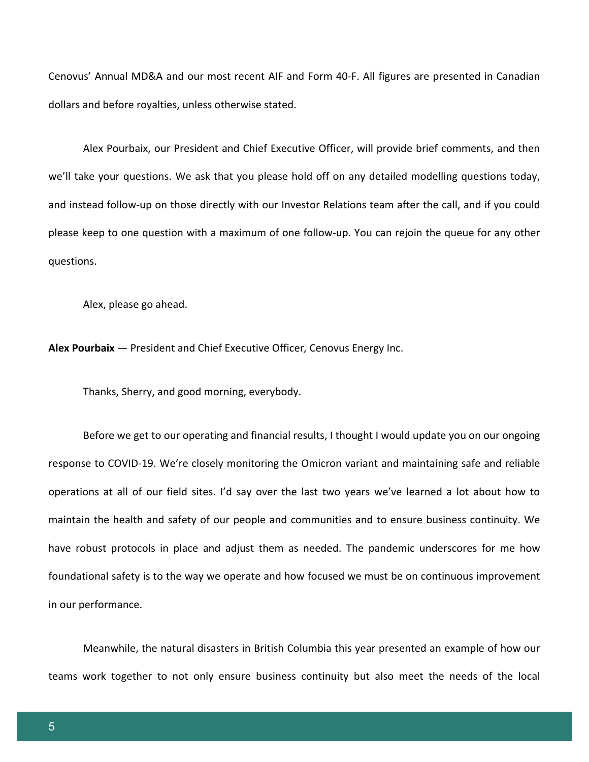Cenovus' Annual MD&A and our most recent AIF and Form 40-F. All figures are presented in Canadian dollars and before royalties, unless otherwise stated.

Alex Pourbaix, our President and Chief Executive Officer, will provide brief comments, and then we'll take your questions. We ask that you please hold off on any detailed modelling questions today, and instead follow-up on those directly with our Investor Relations team after the call, and if you could please keep to one question with a maximum of one follow-up. You can rejoin the queue for any other questions.

Alex, please go ahead.

**Alex Pourbaix** — President and Chief Executive Officer*,* Cenovus Energy Inc.

Thanks, Sherry, and good morning, everybody.

Before we get to our operating and financial results, I thought I would update you on our ongoing response to COVID-19. We're closely monitoring the Omicron variant and maintaining safe and reliable operations at all of our field sites. I'd say over the last two years we've learned a lot about how to maintain the health and safety of our people and communities and to ensure business continuity. We have robust protocols in place and adjust them as needed. The pandemic underscores for me how foundational safety is to the way we operate and how focused we must be on continuous improvement in our performance.

Meanwhile, the natural disasters in British Columbia this year presented an example of how our teams work together to not only ensure business continuity but also meet the needs of the local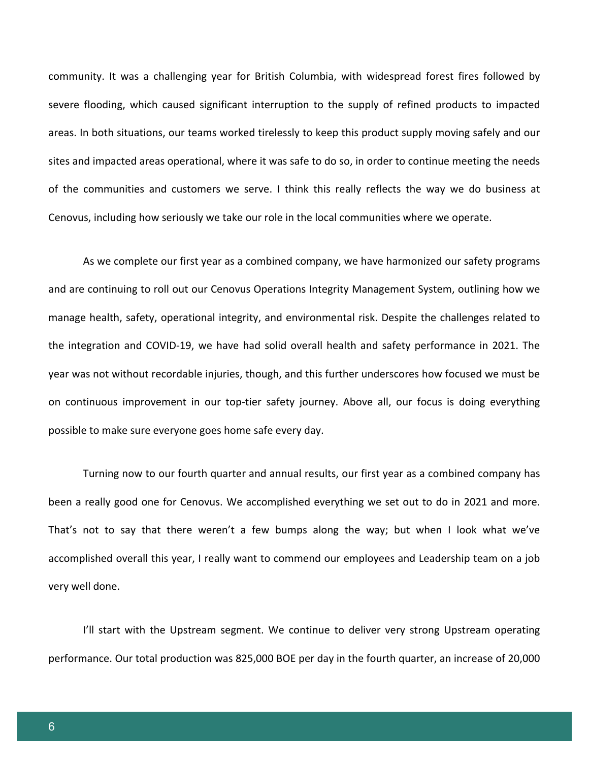community. It was a challenging year for British Columbia, with widespread forest fires followed by severe flooding, which caused significant interruption to the supply of refined products to impacted areas. In both situations, our teams worked tirelessly to keep this product supply moving safely and our sites and impacted areas operational, where it was safe to do so, in order to continue meeting the needs of the communities and customers we serve. I think this really reflects the way we do business at Cenovus, including how seriously we take our role in the local communities where we operate.

As we complete our first year as a combined company, we have harmonized our safety programs and are continuing to roll out our Cenovus Operations Integrity Management System, outlining how we manage health, safety, operational integrity, and environmental risk. Despite the challenges related to the integration and COVID-19, we have had solid overall health and safety performance in 2021. The year was not without recordable injuries, though, and this further underscores how focused we must be on continuous improvement in our top-tier safety journey. Above all, our focus is doing everything possible to make sure everyone goes home safe every day.

Turning now to our fourth quarter and annual results, our first year as a combined company has been a really good one for Cenovus. We accomplished everything we set out to do in 2021 and more. That's not to say that there weren't a few bumps along the way; but when I look what we've accomplished overall this year, I really want to commend our employees and Leadership team on a job very well done.

I'll start with the Upstream segment. We continue to deliver very strong Upstream operating performance. Our total production was 825,000 BOE per day in the fourth quarter, an increase of 20,000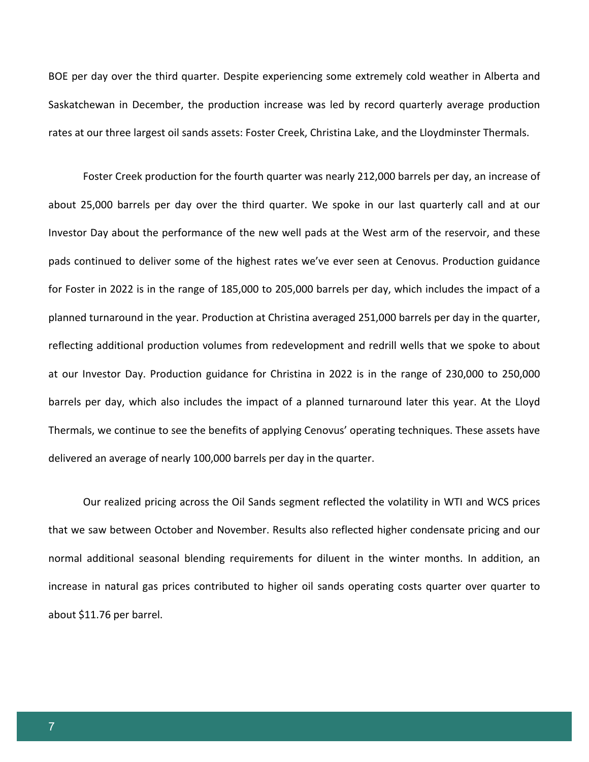BOE per day over the third quarter. Despite experiencing some extremely cold weather in Alberta and Saskatchewan in December, the production increase was led by record quarterly average production rates at our three largest oil sands assets: Foster Creek, Christina Lake, and the Lloydminster Thermals.

Foster Creek production for the fourth quarter was nearly 212,000 barrels per day, an increase of about 25,000 barrels per day over the third quarter. We spoke in our last quarterly call and at our Investor Day about the performance of the new well pads at the West arm of the reservoir, and these pads continued to deliver some of the highest rates we've ever seen at Cenovus. Production guidance for Foster in 2022 is in the range of 185,000 to 205,000 barrels per day, which includes the impact of a planned turnaround in the year. Production at Christina averaged 251,000 barrels per day in the quarter, reflecting additional production volumes from redevelopment and redrill wells that we spoke to about at our Investor Day. Production guidance for Christina in 2022 is in the range of 230,000 to 250,000 barrels per day, which also includes the impact of a planned turnaround later this year. At the Lloyd Thermals, we continue to see the benefits of applying Cenovus' operating techniques. These assets have delivered an average of nearly 100,000 barrels per day in the quarter.

Our realized pricing across the Oil Sands segment reflected the volatility in WTI and WCS prices that we saw between October and November. Results also reflected higher condensate pricing and our normal additional seasonal blending requirements for diluent in the winter months. In addition, an increase in natural gas prices contributed to higher oil sands operating costs quarter over quarter to about \$11.76 per barrel.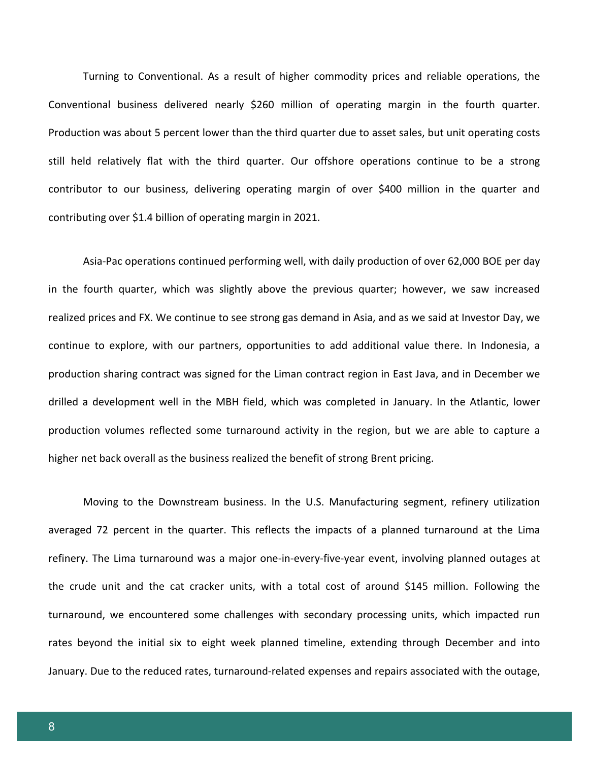Turning to Conventional. As a result of higher commodity prices and reliable operations, the Conventional business delivered nearly \$260 million of operating margin in the fourth quarter. Production was about 5 percent lower than the third quarter due to asset sales, but unit operating costs still held relatively flat with the third quarter. Our offshore operations continue to be a strong contributor to our business, delivering operating margin of over \$400 million in the quarter and contributing over \$1.4 billion of operating margin in 2021.

Asia-Pac operations continued performing well, with daily production of over 62,000 BOE per day in the fourth quarter, which was slightly above the previous quarter; however, we saw increased realized prices and FX. We continue to see strong gas demand in Asia, and as we said at Investor Day, we continue to explore, with our partners, opportunities to add additional value there. In Indonesia, a production sharing contract was signed for the Liman contract region in East Java, and in December we drilled a development well in the MBH field, which was completed in January. In the Atlantic, lower production volumes reflected some turnaround activity in the region, but we are able to capture a higher net back overall as the business realized the benefit of strong Brent pricing.

Moving to the Downstream business. In the U.S. Manufacturing segment, refinery utilization averaged 72 percent in the quarter. This reflects the impacts of a planned turnaround at the Lima refinery. The Lima turnaround was a major one-in-every-five-year event, involving planned outages at the crude unit and the cat cracker units, with a total cost of around \$145 million. Following the turnaround, we encountered some challenges with secondary processing units, which impacted run rates beyond the initial six to eight week planned timeline, extending through December and into January. Due to the reduced rates, turnaround-related expenses and repairs associated with the outage,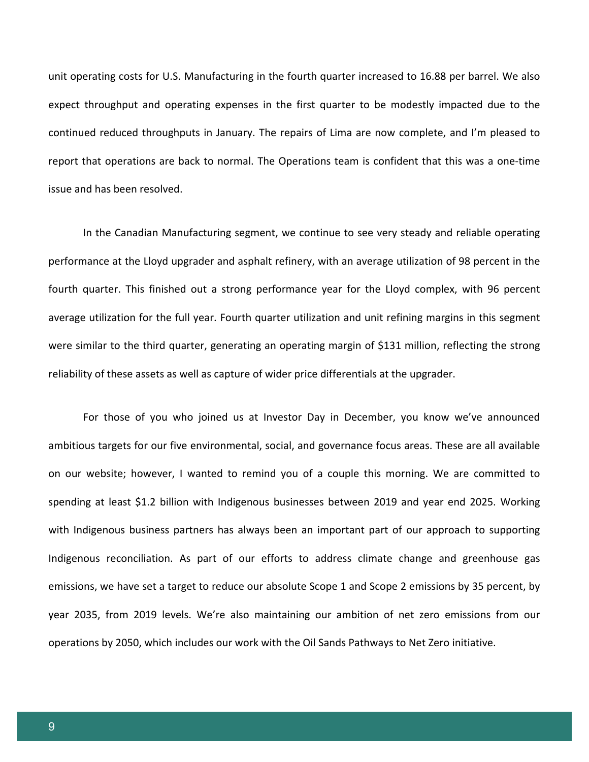unit operating costs for U.S. Manufacturing in the fourth quarter increased to 16.88 per barrel. We also expect throughput and operating expenses in the first quarter to be modestly impacted due to the continued reduced throughputs in January. The repairs of Lima are now complete, and I'm pleased to report that operations are back to normal. The Operations team is confident that this was a one-time issue and has been resolved.

In the Canadian Manufacturing segment, we continue to see very steady and reliable operating performance at the Lloyd upgrader and asphalt refinery, with an average utilization of 98 percent in the fourth quarter. This finished out a strong performance year for the Lloyd complex, with 96 percent average utilization for the full year. Fourth quarter utilization and unit refining margins in this segment were similar to the third quarter, generating an operating margin of \$131 million, reflecting the strong reliability of these assets as well as capture of wider price differentials at the upgrader.

For those of you who joined us at Investor Day in December, you know we've announced ambitious targets for our five environmental, social, and governance focus areas. These are all available on our website; however, I wanted to remind you of a couple this morning. We are committed to spending at least \$1.2 billion with Indigenous businesses between 2019 and year end 2025. Working with Indigenous business partners has always been an important part of our approach to supporting Indigenous reconciliation. As part of our efforts to address climate change and greenhouse gas emissions, we have set a target to reduce our absolute Scope 1 and Scope 2 emissions by 35 percent, by year 2035, from 2019 levels. We're also maintaining our ambition of net zero emissions from our operations by 2050, which includes our work with the Oil Sands Pathways to Net Zero initiative.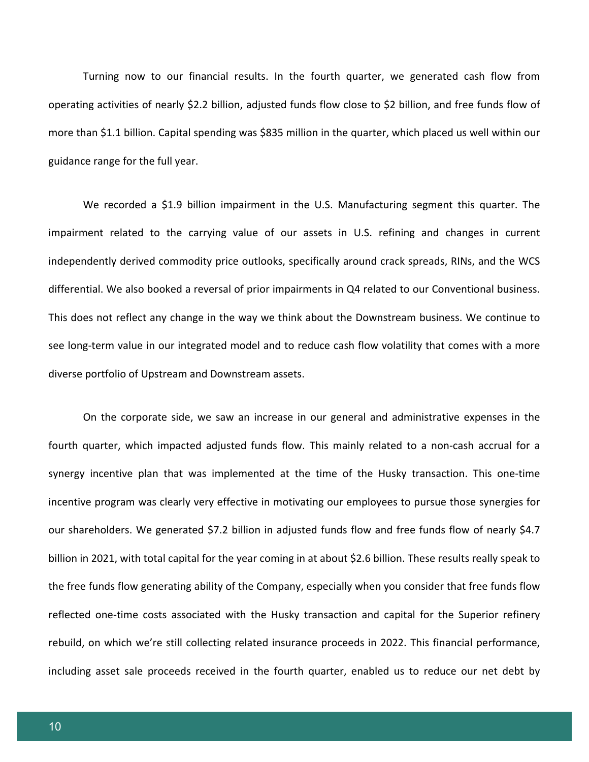Turning now to our financial results. In the fourth quarter, we generated cash flow from operating activities of nearly \$2.2 billion, adjusted funds flow close to \$2 billion, and free funds flow of more than \$1.1 billion. Capital spending was \$835 million in the quarter, which placed us well within our guidance range for the full year.

We recorded a \$1.9 billion impairment in the U.S. Manufacturing segment this quarter. The impairment related to the carrying value of our assets in U.S. refining and changes in current independently derived commodity price outlooks, specifically around crack spreads, RINs, and the WCS differential. We also booked a reversal of prior impairments in Q4 related to our Conventional business. This does not reflect any change in the way we think about the Downstream business. We continue to see long-term value in our integrated model and to reduce cash flow volatility that comes with a more diverse portfolio of Upstream and Downstream assets.

On the corporate side, we saw an increase in our general and administrative expenses in the fourth quarter, which impacted adjusted funds flow. This mainly related to a non-cash accrual for a synergy incentive plan that was implemented at the time of the Husky transaction. This one-time incentive program was clearly very effective in motivating our employees to pursue those synergies for our shareholders. We generated \$7.2 billion in adjusted funds flow and free funds flow of nearly \$4.7 billion in 2021, with total capital for the year coming in at about \$2.6 billion. These results really speak to the free funds flow generating ability of the Company, especially when you consider that free funds flow reflected one-time costs associated with the Husky transaction and capital for the Superior refinery rebuild, on which we're still collecting related insurance proceeds in 2022. This financial performance, including asset sale proceeds received in the fourth quarter, enabled us to reduce our net debt by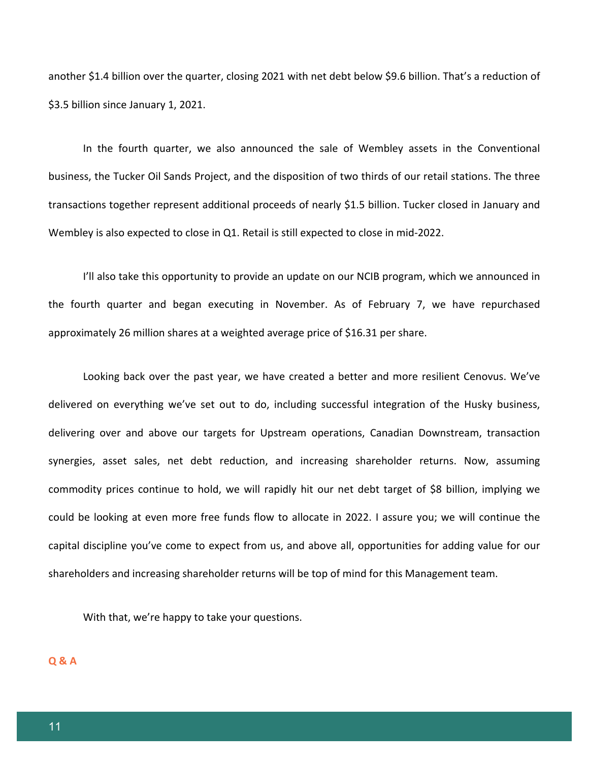another \$1.4 billion over the quarter, closing 2021 with net debt below \$9.6 billion. That's a reduction of \$3.5 billion since January 1, 2021.

In the fourth quarter, we also announced the sale of Wembley assets in the Conventional business, the Tucker Oil Sands Project, and the disposition of two thirds of our retail stations. The three transactions together represent additional proceeds of nearly \$1.5 billion. Tucker closed in January and Wembley is also expected to close in Q1. Retail is still expected to close in mid-2022.

I'll also take this opportunity to provide an update on our NCIB program, which we announced in the fourth quarter and began executing in November. As of February 7, we have repurchased approximately 26 million shares at a weighted average price of \$16.31 per share.

Looking back over the past year, we have created a better and more resilient Cenovus. We've delivered on everything we've set out to do, including successful integration of the Husky business, delivering over and above our targets for Upstream operations, Canadian Downstream, transaction synergies, asset sales, net debt reduction, and increasing shareholder returns. Now, assuming commodity prices continue to hold, we will rapidly hit our net debt target of \$8 billion, implying we could be looking at even more free funds flow to allocate in 2022. I assure you; we will continue the capital discipline you've come to expect from us, and above all, opportunities for adding value for our shareholders and increasing shareholder returns will be top of mind for this Management team.

With that, we're happy to take your questions.

**Q & A**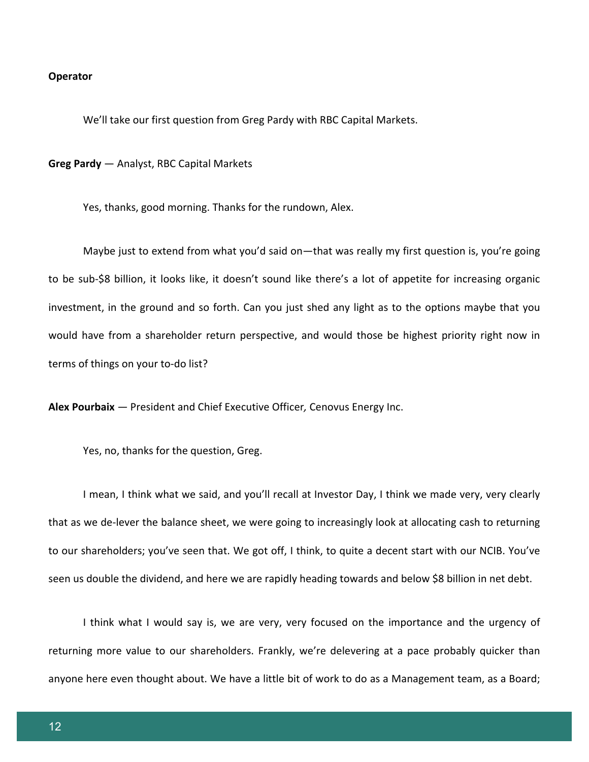#### **Operator**

We'll take our first question from Greg Pardy with RBC Capital Markets.

**Greg Pardy** — Analyst, RBC Capital Markets

Yes, thanks, good morning. Thanks for the rundown, Alex.

Maybe just to extend from what you'd said on—that was really my first question is, you're going to be sub-\$8 billion, it looks like, it doesn't sound like there's a lot of appetite for increasing organic investment, in the ground and so forth. Can you just shed any light as to the options maybe that you would have from a shareholder return perspective, and would those be highest priority right now in terms of things on your to-do list?

**Alex Pourbaix** *—* President and Chief Executive Officer*,* Cenovus Energy Inc.

Yes, no, thanks for the question, Greg.

I mean, I think what we said, and you'll recall at Investor Day, I think we made very, very clearly that as we de-lever the balance sheet, we were going to increasingly look at allocating cash to returning to our shareholders; you've seen that. We got off, I think, to quite a decent start with our NCIB. You've seen us double the dividend, and here we are rapidly heading towards and below \$8 billion in net debt.

I think what I would say is, we are very, very focused on the importance and the urgency of returning more value to our shareholders. Frankly, we're delevering at a pace probably quicker than anyone here even thought about. We have a little bit of work to do as a Management team, as a Board;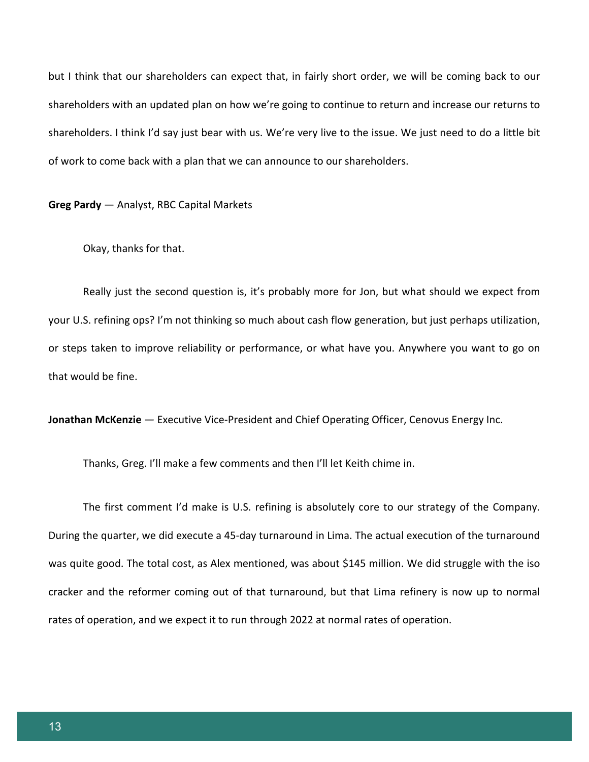but I think that our shareholders can expect that, in fairly short order, we will be coming back to our shareholders with an updated plan on how we're going to continue to return and increase our returns to shareholders. I think I'd say just bear with us. We're very live to the issue. We just need to do a little bit of work to come back with a plan that we can announce to our shareholders.

**Greg Pardy** — Analyst, RBC Capital Markets

Okay, thanks for that.

Really just the second question is, it's probably more for Jon, but what should we expect from your U.S. refining ops? I'm not thinking so much about cash flow generation, but just perhaps utilization, or steps taken to improve reliability or performance, or what have you. Anywhere you want to go on that would be fine.

**Jonathan McKenzie** *—* Executive Vice-President and Chief Operating Officer, Cenovus Energy Inc.

Thanks, Greg. I'll make a few comments and then I'll let Keith chime in.

The first comment I'd make is U.S. refining is absolutely core to our strategy of the Company. During the quarter, we did execute a 45-day turnaround in Lima. The actual execution of the turnaround was quite good. The total cost, as Alex mentioned, was about \$145 million. We did struggle with the iso cracker and the reformer coming out of that turnaround, but that Lima refinery is now up to normal rates of operation, and we expect it to run through 2022 at normal rates of operation.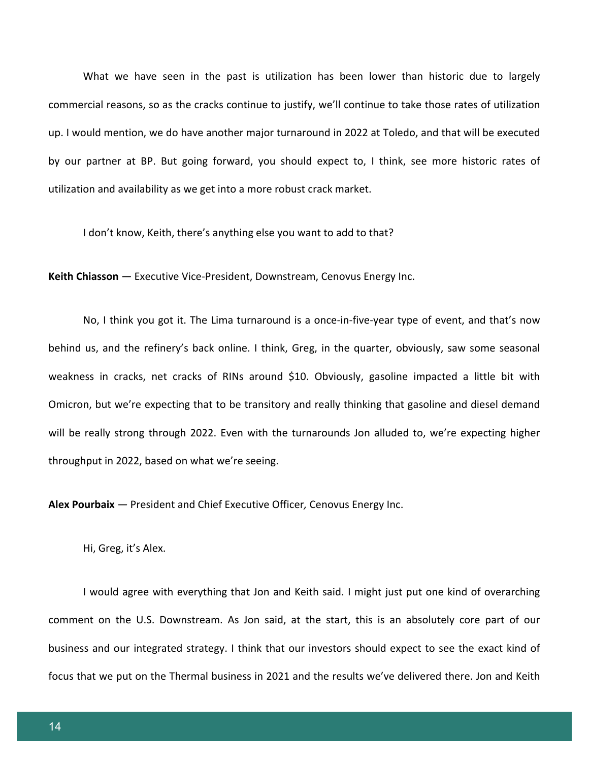What we have seen in the past is utilization has been lower than historic due to largely commercial reasons, so as the cracks continue to justify, we'll continue to take those rates of utilization up. I would mention, we do have another major turnaround in 2022 at Toledo, and that will be executed by our partner at BP. But going forward, you should expect to, I think, see more historic rates of utilization and availability as we get into a more robust crack market.

I don't know, Keith, there's anything else you want to add to that?

**Keith Chiasson** *—* Executive Vice-President, Downstream, Cenovus Energy Inc.

No, I think you got it. The Lima turnaround is a once-in-five-year type of event, and that's now behind us, and the refinery's back online. I think, Greg, in the quarter, obviously, saw some seasonal weakness in cracks, net cracks of RINs around \$10. Obviously, gasoline impacted a little bit with Omicron, but we're expecting that to be transitory and really thinking that gasoline and diesel demand will be really strong through 2022. Even with the turnarounds Jon alluded to, we're expecting higher throughput in 2022, based on what we're seeing.

**Alex Pourbaix** *—* President and Chief Executive Officer*,* Cenovus Energy Inc.

Hi, Greg, it's Alex.

I would agree with everything that Jon and Keith said. I might just put one kind of overarching comment on the U.S. Downstream. As Jon said, at the start, this is an absolutely core part of our business and our integrated strategy. I think that our investors should expect to see the exact kind of focus that we put on the Thermal business in 2021 and the results we've delivered there. Jon and Keith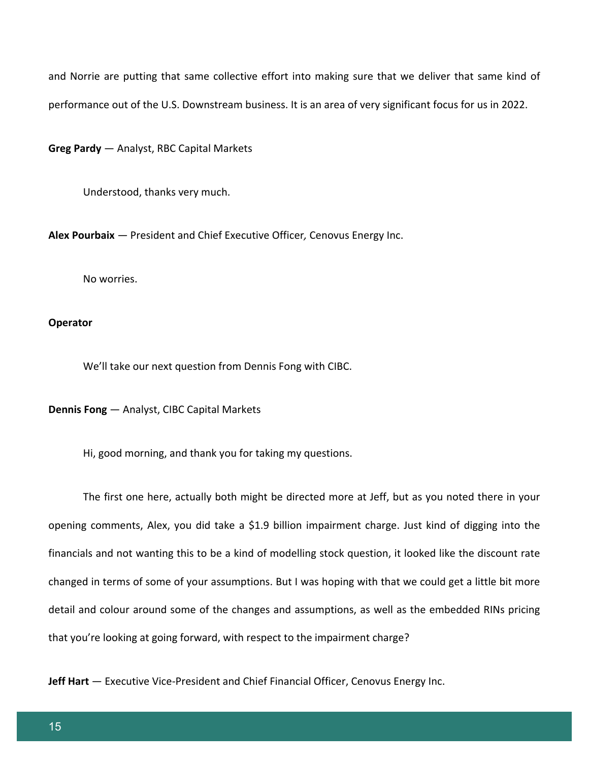and Norrie are putting that same collective effort into making sure that we deliver that same kind of performance out of the U.S. Downstream business. It is an area of very significant focus for us in 2022.

**Greg Pardy** — Analyst, RBC Capital Markets

Understood, thanks very much.

**Alex Pourbaix** *—* President and Chief Executive Officer*,* Cenovus Energy Inc.

No worries.

## **Operator**

We'll take our next question from Dennis Fong with CIBC.

**Dennis Fong** — Analyst, CIBC Capital Markets

Hi, good morning, and thank you for taking my questions.

The first one here, actually both might be directed more at Jeff, but as you noted there in your opening comments, Alex, you did take a \$1.9 billion impairment charge. Just kind of digging into the financials and not wanting this to be a kind of modelling stock question, it looked like the discount rate changed in terms of some of your assumptions. But I was hoping with that we could get a little bit more detail and colour around some of the changes and assumptions, as well as the embedded RINs pricing that you're looking at going forward, with respect to the impairment charge?

**Jeff Hart** *—* Executive Vice-President and Chief Financial Officer, Cenovus Energy Inc.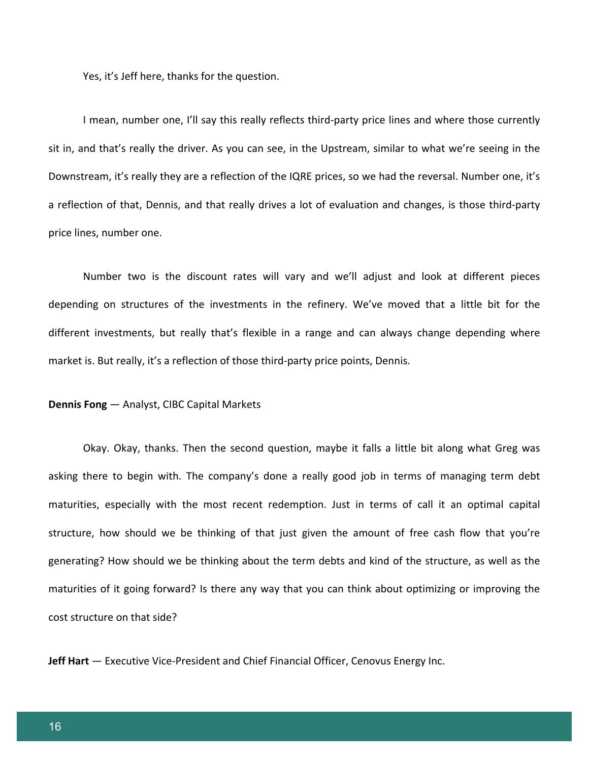Yes, it's Jeff here, thanks for the question.

I mean, number one, I'll say this really reflects third-party price lines and where those currently sit in, and that's really the driver. As you can see, in the Upstream, similar to what we're seeing in the Downstream, it's really they are a reflection of the IQRE prices, so we had the reversal. Number one, it's a reflection of that, Dennis, and that really drives a lot of evaluation and changes, is those third-party price lines, number one.

Number two is the discount rates will vary and we'll adjust and look at different pieces depending on structures of the investments in the refinery. We've moved that a little bit for the different investments, but really that's flexible in a range and can always change depending where market is. But really, it's a reflection of those third-party price points, Dennis.

#### **Dennis Fong** — Analyst, CIBC Capital Markets

Okay. Okay, thanks. Then the second question, maybe it falls a little bit along what Greg was asking there to begin with. The company's done a really good job in terms of managing term debt maturities, especially with the most recent redemption. Just in terms of call it an optimal capital structure, how should we be thinking of that just given the amount of free cash flow that you're generating? How should we be thinking about the term debts and kind of the structure, as well as the maturities of it going forward? Is there any way that you can think about optimizing or improving the cost structure on that side?

**Jeff Hart** *—* Executive Vice-President and Chief Financial Officer, Cenovus Energy Inc.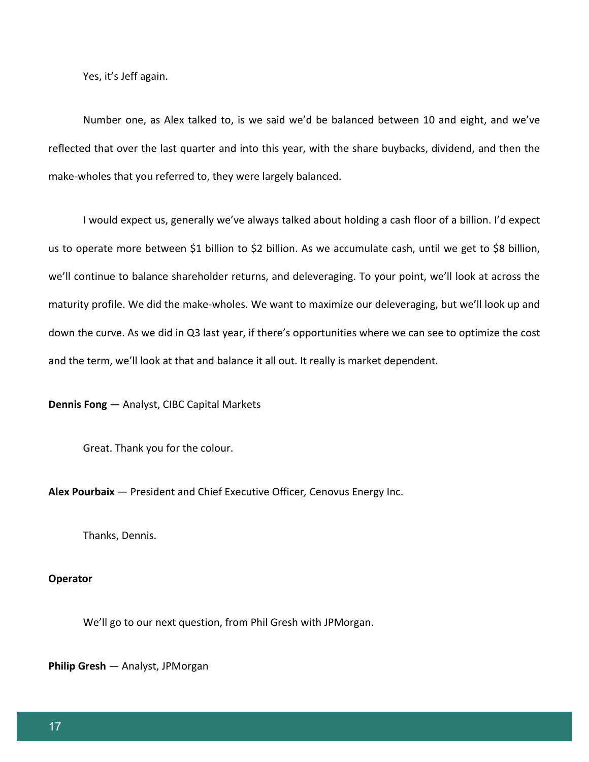Yes, it's Jeff again.

Number one, as Alex talked to, is we said we'd be balanced between 10 and eight, and we've reflected that over the last quarter and into this year, with the share buybacks, dividend, and then the make-wholes that you referred to, they were largely balanced.

I would expect us, generally we've always talked about holding a cash floor of a billion. I'd expect us to operate more between \$1 billion to \$2 billion. As we accumulate cash, until we get to \$8 billion, we'll continue to balance shareholder returns, and deleveraging. To your point, we'll look at across the maturity profile. We did the make-wholes. We want to maximize our deleveraging, but we'll look up and down the curve. As we did in Q3 last year, if there's opportunities where we can see to optimize the cost and the term, we'll look at that and balance it all out. It really is market dependent.

**Dennis Fong** — Analyst, CIBC Capital Markets

Great. Thank you for the colour.

**Alex Pourbaix** *—* President and Chief Executive Officer*,* Cenovus Energy Inc.

Thanks, Dennis.

#### **Operator**

We'll go to our next question, from Phil Gresh with JPMorgan.

**Philip Gresh** — Analyst, JPMorgan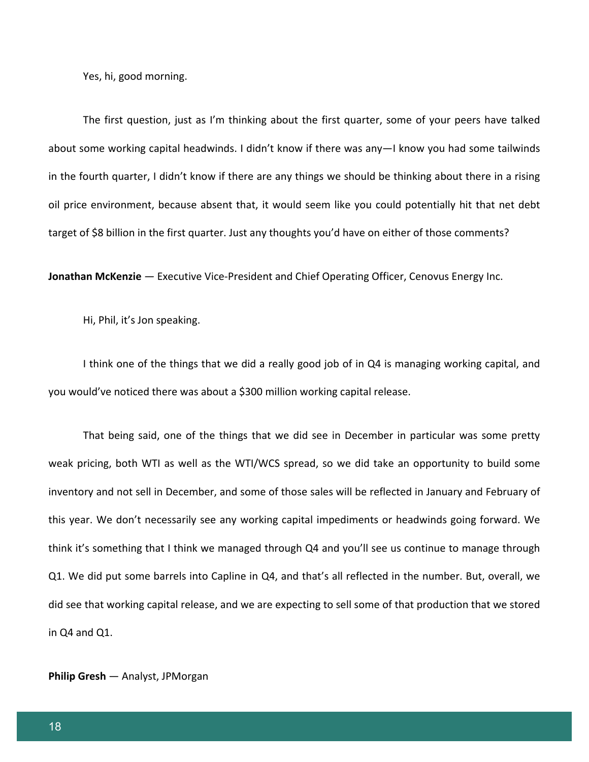Yes, hi, good morning.

The first question, just as I'm thinking about the first quarter, some of your peers have talked about some working capital headwinds. I didn't know if there was any—I know you had some tailwinds in the fourth quarter, I didn't know if there are any things we should be thinking about there in a rising oil price environment, because absent that, it would seem like you could potentially hit that net debt target of \$8 billion in the first quarter. Just any thoughts you'd have on either of those comments?

**Jonathan McKenzie** *—* Executive Vice-President and Chief Operating Officer, Cenovus Energy Inc.

Hi, Phil, it's Jon speaking.

I think one of the things that we did a really good job of in Q4 is managing working capital, and you would've noticed there was about a \$300 million working capital release.

That being said, one of the things that we did see in December in particular was some pretty weak pricing, both WTI as well as the WTI/WCS spread, so we did take an opportunity to build some inventory and not sell in December, and some of those sales will be reflected in January and February of this year. We don't necessarily see any working capital impediments or headwinds going forward. We think it's something that I think we managed through Q4 and you'll see us continue to manage through Q1. We did put some barrels into Capline in Q4, and that's all reflected in the number. But, overall, we did see that working capital release, and we are expecting to sell some of that production that we stored in Q4 and Q1.

**Philip Gresh** — Analyst, JPMorgan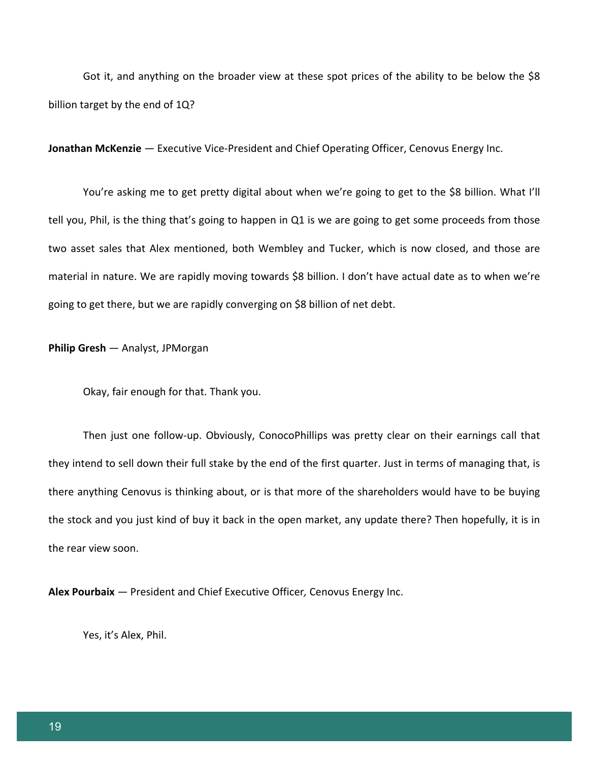Got it, and anything on the broader view at these spot prices of the ability to be below the \$8 billion target by the end of 1Q?

**Jonathan McKenzie** *—* Executive Vice-President and Chief Operating Officer, Cenovus Energy Inc.

You're asking me to get pretty digital about when we're going to get to the \$8 billion. What I'll tell you, Phil, is the thing that's going to happen in Q1 is we are going to get some proceeds from those two asset sales that Alex mentioned, both Wembley and Tucker, which is now closed, and those are material in nature. We are rapidly moving towards \$8 billion. I don't have actual date as to when we're going to get there, but we are rapidly converging on \$8 billion of net debt.

#### **Philip Gresh** — Analyst, JPMorgan

Okay, fair enough for that. Thank you.

Then just one follow-up. Obviously, ConocoPhillips was pretty clear on their earnings call that they intend to sell down their full stake by the end of the first quarter. Just in terms of managing that, is there anything Cenovus is thinking about, or is that more of the shareholders would have to be buying the stock and you just kind of buy it back in the open market, any update there? Then hopefully, it is in the rear view soon.

**Alex Pourbaix** *—* President and Chief Executive Officer*,* Cenovus Energy Inc.

Yes, it's Alex, Phil.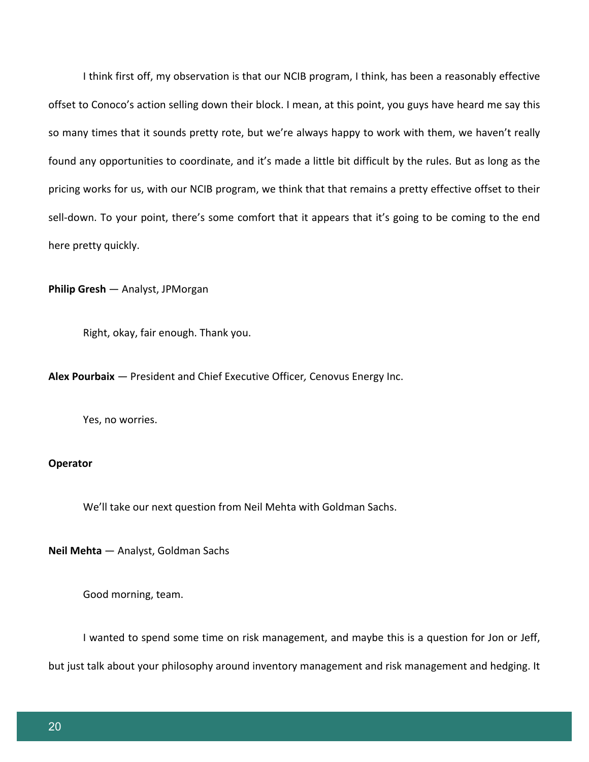I think first off, my observation is that our NCIB program, I think, has been a reasonably effective offset to Conoco's action selling down their block. I mean, at this point, you guys have heard me say this so many times that it sounds pretty rote, but we're always happy to work with them, we haven't really found any opportunities to coordinate, and it's made a little bit difficult by the rules. But as long as the pricing works for us, with our NCIB program, we think that that remains a pretty effective offset to their sell-down. To your point, there's some comfort that it appears that it's going to be coming to the end here pretty quickly.

**Philip Gresh** — Analyst, JPMorgan

Right, okay, fair enough. Thank you.

**Alex Pourbaix** *—* President and Chief Executive Officer*,* Cenovus Energy Inc.

Yes, no worries.

#### **Operator**

We'll take our next question from Neil Mehta with Goldman Sachs.

**Neil Mehta** — Analyst, Goldman Sachs

Good morning, team.

I wanted to spend some time on risk management, and maybe this is a question for Jon or Jeff,

but just talk about your philosophy around inventory management and risk management and hedging. It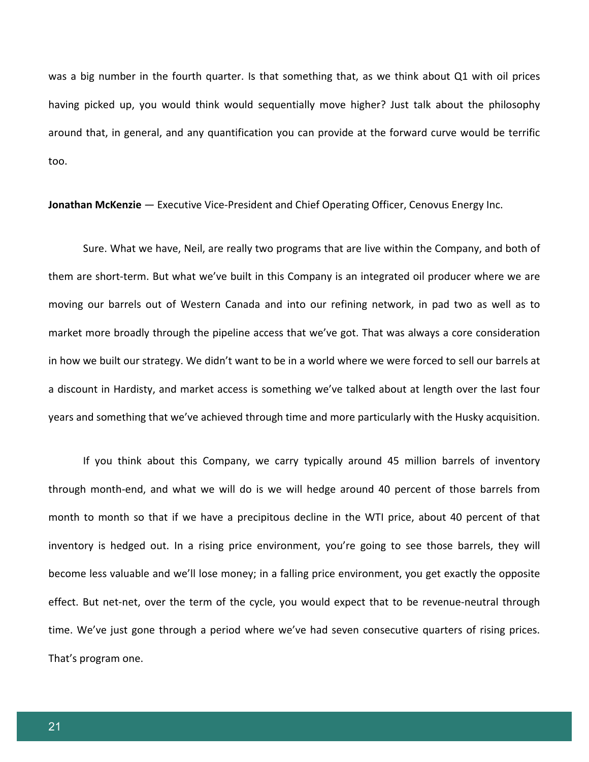was a big number in the fourth quarter. Is that something that, as we think about Q1 with oil prices having picked up, you would think would sequentially move higher? Just talk about the philosophy around that, in general, and any quantification you can provide at the forward curve would be terrific too.

**Jonathan McKenzie** *—* Executive Vice-President and Chief Operating Officer, Cenovus Energy Inc.

Sure. What we have, Neil, are really two programs that are live within the Company, and both of them are short-term. But what we've built in this Company is an integrated oil producer where we are moving our barrels out of Western Canada and into our refining network, in pad two as well as to market more broadly through the pipeline access that we've got. That was always a core consideration in how we built our strategy. We didn't want to be in a world where we were forced to sell our barrels at a discount in Hardisty, and market access is something we've talked about at length over the last four years and something that we've achieved through time and more particularly with the Husky acquisition.

If you think about this Company, we carry typically around 45 million barrels of inventory through month-end, and what we will do is we will hedge around 40 percent of those barrels from month to month so that if we have a precipitous decline in the WTI price, about 40 percent of that inventory is hedged out. In a rising price environment, you're going to see those barrels, they will become less valuable and we'll lose money; in a falling price environment, you get exactly the opposite effect. But net-net, over the term of the cycle, you would expect that to be revenue-neutral through time. We've just gone through a period where we've had seven consecutive quarters of rising prices. That's program one.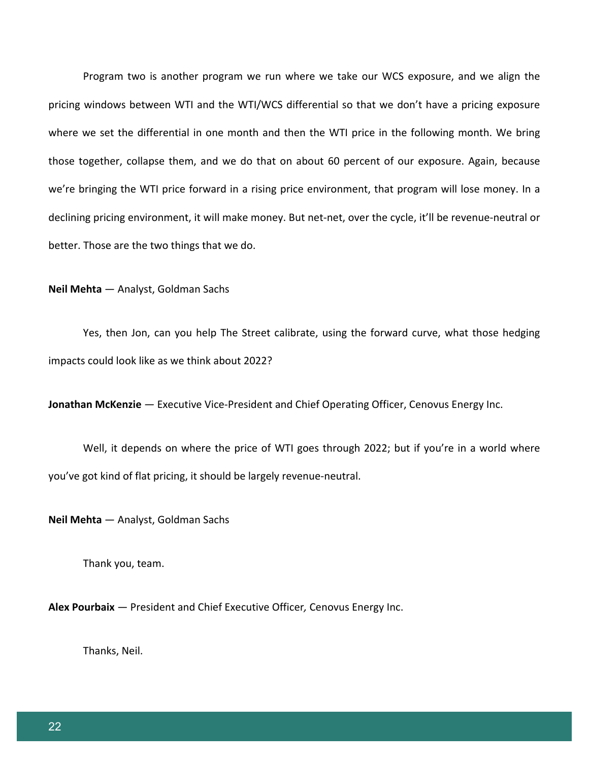Program two is another program we run where we take our WCS exposure, and we align the pricing windows between WTI and the WTI/WCS differential so that we don't have a pricing exposure where we set the differential in one month and then the WTI price in the following month. We bring those together, collapse them, and we do that on about 60 percent of our exposure. Again, because we're bringing the WTI price forward in a rising price environment, that program will lose money. In a declining pricing environment, it will make money. But net-net, over the cycle, it'll be revenue-neutral or better. Those are the two things that we do.

**Neil Mehta** — Analyst, Goldman Sachs

Yes, then Jon, can you help The Street calibrate, using the forward curve, what those hedging impacts could look like as we think about 2022?

**Jonathan McKenzie** *—* Executive Vice-President and Chief Operating Officer, Cenovus Energy Inc.

Well, it depends on where the price of WTI goes through 2022; but if you're in a world where you've got kind of flat pricing, it should be largely revenue-neutral.

**Neil Mehta** — Analyst, Goldman Sachs

Thank you, team.

**Alex Pourbaix** — President and Chief Executive Officer*,* Cenovus Energy Inc.

Thanks, Neil.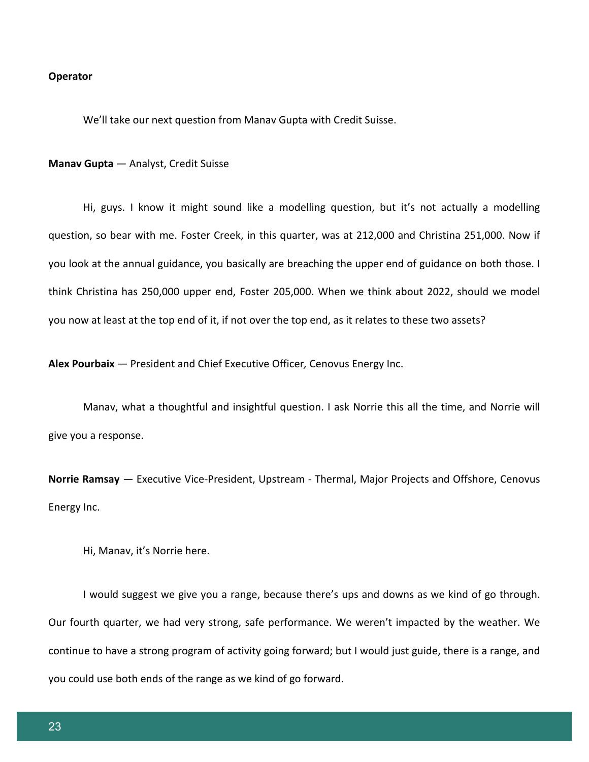#### **Operator**

We'll take our next question from Manav Gupta with Credit Suisse.

#### **Manav Gupta** *—* Analyst, Credit Suisse

Hi, guys. I know it might sound like a modelling question, but it's not actually a modelling question, so bear with me. Foster Creek, in this quarter, was at 212,000 and Christina 251,000. Now if you look at the annual guidance, you basically are breaching the upper end of guidance on both those. I think Christina has 250,000 upper end, Foster 205,000. When we think about 2022, should we model you now at least at the top end of it, if not over the top end, as it relates to these two assets?

**Alex Pourbaix** *—* President and Chief Executive Officer*,* Cenovus Energy Inc.

Manav, what a thoughtful and insightful question. I ask Norrie this all the time, and Norrie will give you a response.

**Norrie Ramsay** *—* Executive Vice-President, Upstream - Thermal, Major Projects and Offshore, Cenovus Energy Inc.

Hi, Manav, it's Norrie here.

I would suggest we give you a range, because there's ups and downs as we kind of go through. Our fourth quarter, we had very strong, safe performance. We weren't impacted by the weather. We continue to have a strong program of activity going forward; but I would just guide, there is a range, and you could use both ends of the range as we kind of go forward.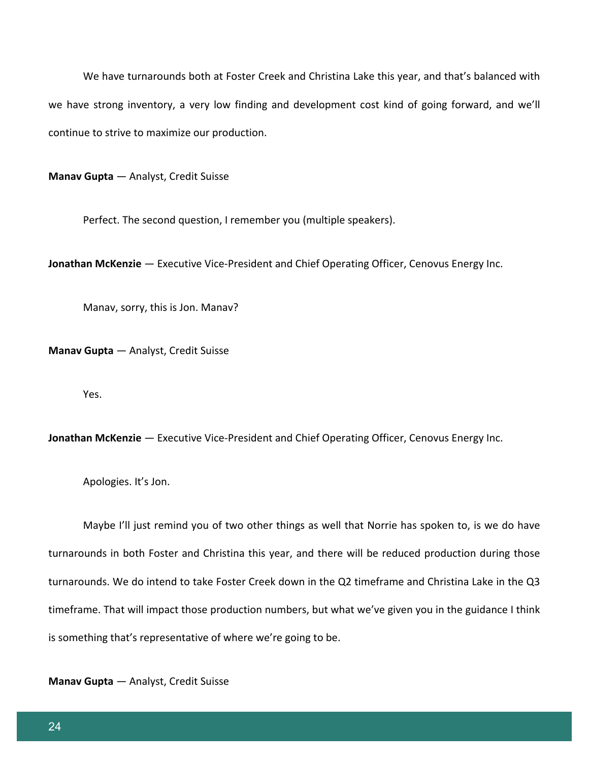We have turnarounds both at Foster Creek and Christina Lake this year, and that's balanced with we have strong inventory, a very low finding and development cost kind of going forward, and we'll continue to strive to maximize our production.

**Manav Gupta** *—* Analyst, Credit Suisse

Perfect. The second question, I remember you (multiple speakers).

**Jonathan McKenzie** *—* Executive Vice-President and Chief Operating Officer, Cenovus Energy Inc.

Manav, sorry, this is Jon. Manav?

**Manav Gupta** *—* Analyst, Credit Suisse

Yes.

**Jonathan McKenzie** *—* Executive Vice-President and Chief Operating Officer, Cenovus Energy Inc.

Apologies. It's Jon.

Maybe I'll just remind you of two other things as well that Norrie has spoken to, is we do have turnarounds in both Foster and Christina this year, and there will be reduced production during those turnarounds. We do intend to take Foster Creek down in the Q2 timeframe and Christina Lake in the Q3 timeframe. That will impact those production numbers, but what we've given you in the guidance I think is something that's representative of where we're going to be.

**Manav Gupta** *—* Analyst, Credit Suisse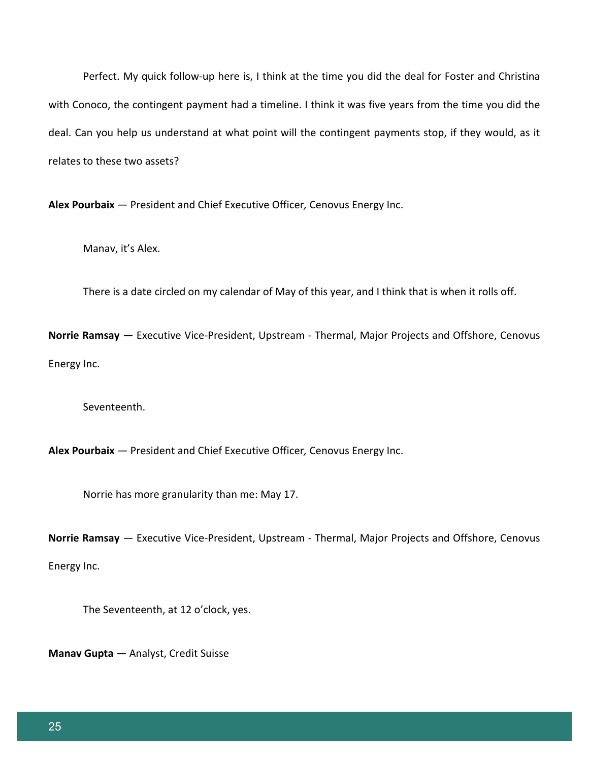Perfect. My quick follow-up here is, I think at the time you did the deal for Foster and Christina with Conoco, the contingent payment had a timeline. I think it was five years from the time you did the deal. Can you help us understand at what point will the contingent payments stop, if they would, as it relates to these two assets?

**Alex Pourbaix** *—* President and Chief Executive Officer*,* Cenovus Energy Inc.

Manav, it's Alex.

There is a date circled on my calendar of May of this year, and I think that is when it rolls off.

**Norrie Ramsay** *—* Executive Vice-President, Upstream - Thermal, Major Projects and Offshore, Cenovus Energy Inc.

Seventeenth.

**Alex Pourbaix** *—* President and Chief Executive Officer*,* Cenovus Energy Inc.

Norrie has more granularity than me: May 17.

**Norrie Ramsay** *—* Executive Vice-President, Upstream - Thermal, Major Projects and Offshore, Cenovus Energy Inc.

The Seventeenth, at 12 o'clock, yes.

**Manav Gupta** *—* Analyst, Credit Suisse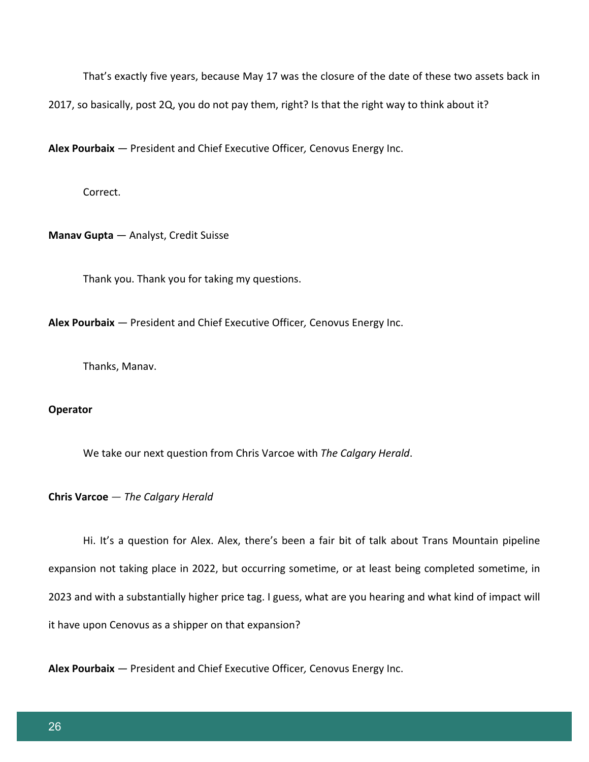That's exactly five years, because May 17 was the closure of the date of these two assets back in

2017, so basically, post 2Q, you do not pay them, right? Is that the right way to think about it?

**Alex Pourbaix** *—* President and Chief Executive Officer*,* Cenovus Energy Inc.

Correct.

**Manav Gupta** *—* Analyst, Credit Suisse

Thank you. Thank you for taking my questions.

**Alex Pourbaix** *—* President and Chief Executive Officer*,* Cenovus Energy Inc.

Thanks, Manav.

#### **Operator**

We take our next question from Chris Varcoe with *The Calgary Herald*.

#### **Chris Varcoe** *— The Calgary Herald*

Hi. It's a question for Alex. Alex, there's been a fair bit of talk about Trans Mountain pipeline expansion not taking place in 2022, but occurring sometime, or at least being completed sometime, in 2023 and with a substantially higher price tag. I guess, what are you hearing and what kind of impact will it have upon Cenovus as a shipper on that expansion?

**Alex Pourbaix** *—* President and Chief Executive Officer*,* Cenovus Energy Inc.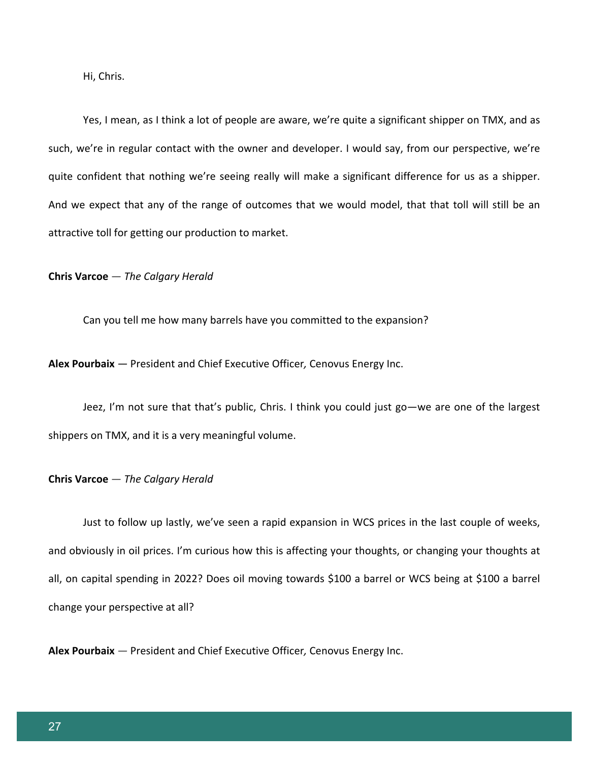Hi, Chris.

Yes, I mean, as I think a lot of people are aware, we're quite a significant shipper on TMX, and as such, we're in regular contact with the owner and developer. I would say, from our perspective, we're quite confident that nothing we're seeing really will make a significant difference for us as a shipper. And we expect that any of the range of outcomes that we would model, that that toll will still be an attractive toll for getting our production to market.

**Chris Varcoe** *— The Calgary Herald*

Can you tell me how many barrels have you committed to the expansion?

**Alex Pourbaix** *—* President and Chief Executive Officer*,* Cenovus Energy Inc.

Jeez, I'm not sure that that's public, Chris. I think you could just go—we are one of the largest shippers on TMX, and it is a very meaningful volume.

#### **Chris Varcoe** *— The Calgary Herald*

Just to follow up lastly, we've seen a rapid expansion in WCS prices in the last couple of weeks, and obviously in oil prices. I'm curious how this is affecting your thoughts, or changing your thoughts at all, on capital spending in 2022? Does oil moving towards \$100 a barrel or WCS being at \$100 a barrel change your perspective at all?

**Alex Pourbaix** *—* President and Chief Executive Officer*,* Cenovus Energy Inc.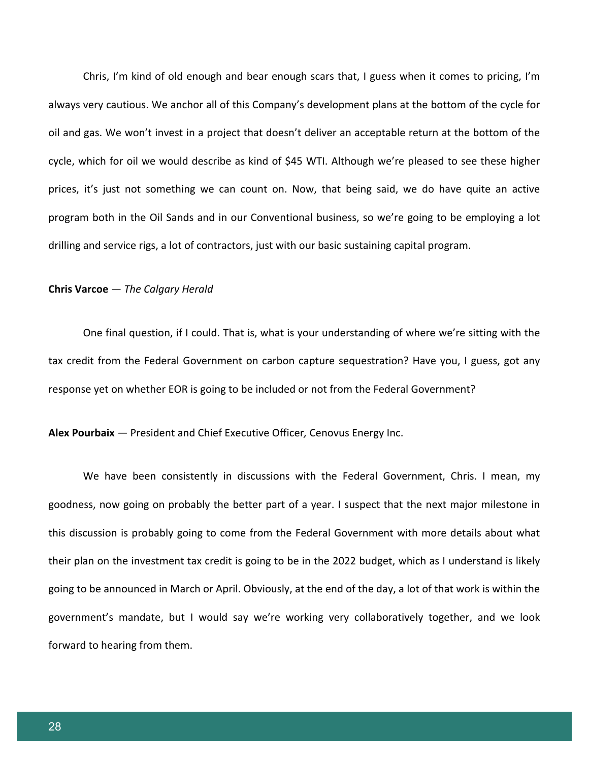Chris, I'm kind of old enough and bear enough scars that, I guess when it comes to pricing, I'm always very cautious. We anchor all of this Company's development plans at the bottom of the cycle for oil and gas. We won't invest in a project that doesn't deliver an acceptable return at the bottom of the cycle, which for oil we would describe as kind of \$45 WTI. Although we're pleased to see these higher prices, it's just not something we can count on. Now, that being said, we do have quite an active program both in the Oil Sands and in our Conventional business, so we're going to be employing a lot drilling and service rigs, a lot of contractors, just with our basic sustaining capital program.

#### **Chris Varcoe** *— The Calgary Herald*

One final question, if I could. That is, what is your understanding of where we're sitting with the tax credit from the Federal Government on carbon capture sequestration? Have you, I guess, got any response yet on whether EOR is going to be included or not from the Federal Government?

**Alex Pourbaix** *—* President and Chief Executive Officer*,* Cenovus Energy Inc.

We have been consistently in discussions with the Federal Government, Chris. I mean, my goodness, now going on probably the better part of a year. I suspect that the next major milestone in this discussion is probably going to come from the Federal Government with more details about what their plan on the investment tax credit is going to be in the 2022 budget, which as I understand is likely going to be announced in March or April. Obviously, at the end of the day, a lot of that work is within the government's mandate, but I would say we're working very collaboratively together, and we look forward to hearing from them.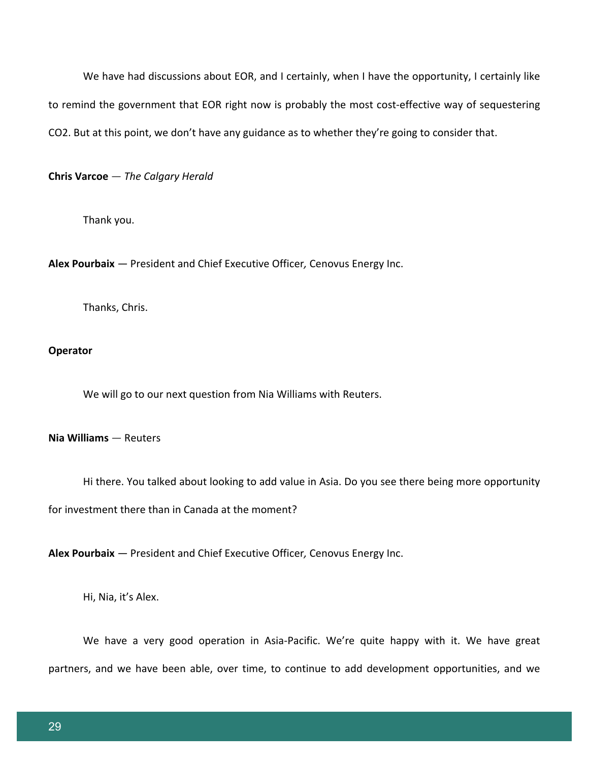We have had discussions about EOR, and I certainly, when I have the opportunity, I certainly like to remind the government that EOR right now is probably the most cost-effective way of sequestering CO2. But at this point, we don't have any guidance as to whether they're going to consider that.

**Chris Varcoe** *— The Calgary Herald*

Thank you.

**Alex Pourbaix** *—* President and Chief Executive Officer*,* Cenovus Energy Inc.

Thanks, Chris.

## **Operator**

We will go to our next question from Nia Williams with Reuters.

# **Nia Williams** *—* Reuters

Hi there. You talked about looking to add value in Asia. Do you see there being more opportunity

for investment there than in Canada at the moment?

**Alex Pourbaix** *—* President and Chief Executive Officer*,* Cenovus Energy Inc.

Hi, Nia, it's Alex.

We have a very good operation in Asia-Pacific. We're quite happy with it. We have great partners, and we have been able, over time, to continue to add development opportunities, and we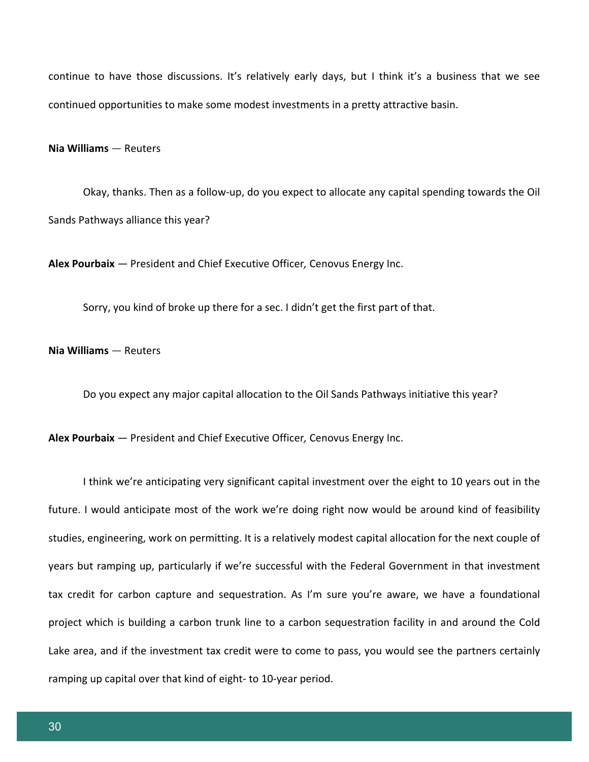continue to have those discussions. It's relatively early days, but I think it's a business that we see continued opportunities to make some modest investments in a pretty attractive basin.

#### **Nia Williams** *—* Reuters

Okay, thanks. Then as a follow-up, do you expect to allocate any capital spending towards the Oil Sands Pathways alliance this year?

**Alex Pourbaix** *—* President and Chief Executive Officer*,* Cenovus Energy Inc.

Sorry, you kind of broke up there for a sec. I didn't get the first part of that.

## **Nia Williams** *—* Reuters

Do you expect any major capital allocation to the Oil Sands Pathways initiative this year?

**Alex Pourbaix** *—* President and Chief Executive Officer*,* Cenovus Energy Inc.

I think we're anticipating very significant capital investment over the eight to 10 years out in the future. I would anticipate most of the work we're doing right now would be around kind of feasibility studies, engineering, work on permitting. It is a relatively modest capital allocation for the next couple of years but ramping up, particularly if we're successful with the Federal Government in that investment tax credit for carbon capture and sequestration. As I'm sure you're aware, we have a foundational project which is building a carbon trunk line to a carbon sequestration facility in and around the Cold Lake area, and if the investment tax credit were to come to pass, you would see the partners certainly ramping up capital over that kind of eight- to 10-year period.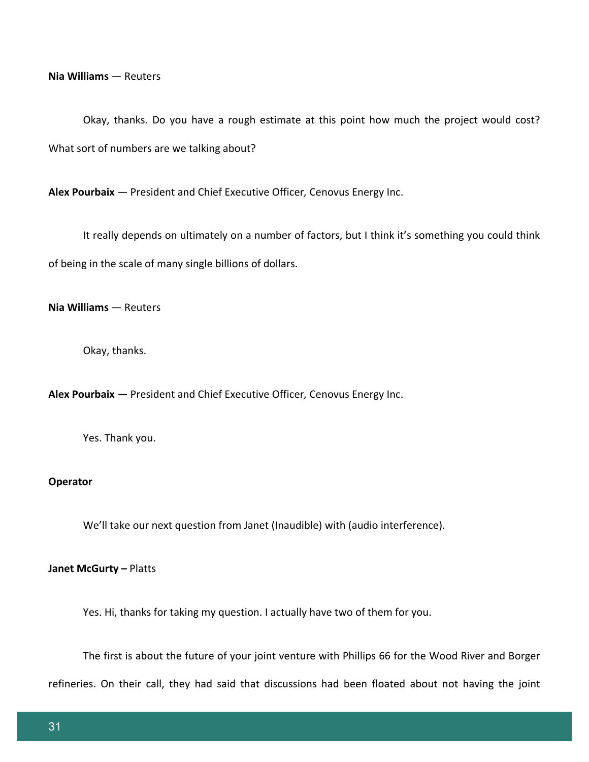**Nia Williams** *—* Reuters

Okay, thanks. Do you have a rough estimate at this point how much the project would cost? What sort of numbers are we talking about?

**Alex Pourbaix** *—* President and Chief Executive Officer*,* Cenovus Energy Inc.

It really depends on ultimately on a number of factors, but I think it's something you could think of being in the scale of many single billions of dollars.

**Nia Williams** *—* Reuters

Okay, thanks.

**Alex Pourbaix** *—* President and Chief Executive Officer*,* Cenovus Energy Inc.

Yes. Thank you.

## **Operator**

We'll take our next question from Janet (Inaudible) with (audio interference).

#### **Janet McGurty –** Platts

Yes. Hi, thanks for taking my question. I actually have two of them for you.

The first is about the future of your joint venture with Phillips 66 for the Wood River and Borger

refineries. On their call, they had said that discussions had been floated about not having the joint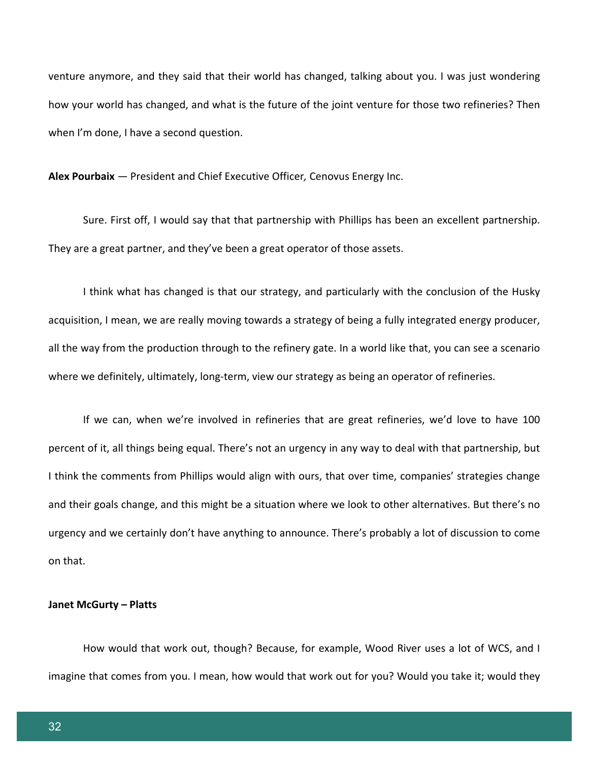venture anymore, and they said that their world has changed, talking about you. I was just wondering how your world has changed, and what is the future of the joint venture for those two refineries? Then when I'm done, I have a second question.

**Alex Pourbaix** *—* President and Chief Executive Officer*,* Cenovus Energy Inc.

Sure. First off, I would say that that partnership with Phillips has been an excellent partnership. They are a great partner, and they've been a great operator of those assets.

I think what has changed is that our strategy, and particularly with the conclusion of the Husky acquisition, I mean, we are really moving towards a strategy of being a fully integrated energy producer, all the way from the production through to the refinery gate. In a world like that, you can see a scenario where we definitely, ultimately, long-term, view our strategy as being an operator of refineries.

If we can, when we're involved in refineries that are great refineries, we'd love to have 100 percent of it, all things being equal. There's not an urgency in any way to deal with that partnership, but I think the comments from Phillips would align with ours, that over time, companies' strategies change and their goals change, and this might be a situation where we look to other alternatives. But there's no urgency and we certainly don't have anything to announce. There's probably a lot of discussion to come on that.

#### **Janet McGurty – Platts**

How would that work out, though? Because, for example, Wood River uses a lot of WCS, and I imagine that comes from you. I mean, how would that work out for you? Would you take it; would they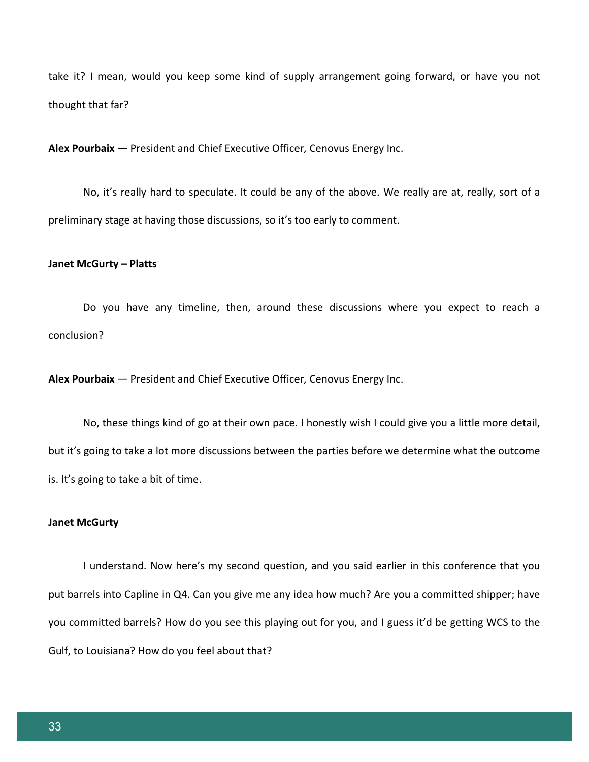take it? I mean, would you keep some kind of supply arrangement going forward, or have you not thought that far?

**Alex Pourbaix** *—* President and Chief Executive Officer*,* Cenovus Energy Inc.

No, it's really hard to speculate. It could be any of the above. We really are at, really, sort of a preliminary stage at having those discussions, so it's too early to comment.

#### **Janet McGurty – Platts**

Do you have any timeline, then, around these discussions where you expect to reach a conclusion?

**Alex Pourbaix** *—* President and Chief Executive Officer*,* Cenovus Energy Inc.

No, these things kind of go at their own pace. I honestly wish I could give you a little more detail, but it's going to take a lot more discussions between the parties before we determine what the outcome is. It's going to take a bit of time.

#### **Janet McGurty**

I understand. Now here's my second question, and you said earlier in this conference that you put barrels into Capline in Q4. Can you give me any idea how much? Are you a committed shipper; have you committed barrels? How do you see this playing out for you, and I guess it'd be getting WCS to the Gulf, to Louisiana? How do you feel about that?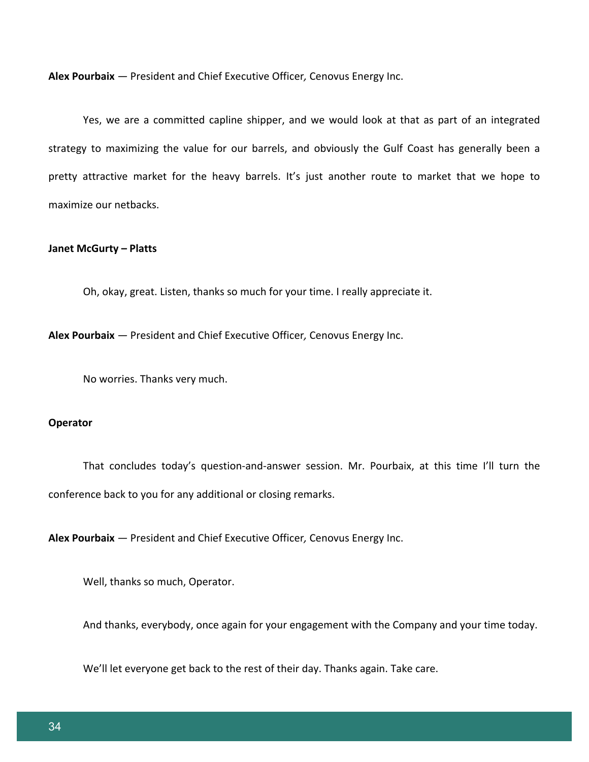**Alex Pourbaix** *—* President and Chief Executive Officer*,* Cenovus Energy Inc.

Yes, we are a committed capline shipper, and we would look at that as part of an integrated strategy to maximizing the value for our barrels, and obviously the Gulf Coast has generally been a pretty attractive market for the heavy barrels. It's just another route to market that we hope to maximize our netbacks.

#### **Janet McGurty – Platts**

Oh, okay, great. Listen, thanks so much for your time. I really appreciate it.

**Alex Pourbaix** *—* President and Chief Executive Officer*,* Cenovus Energy Inc.

No worries. Thanks very much.

#### **Operator**

That concludes today's question-and-answer session. Mr. Pourbaix, at this time I'll turn the conference back to you for any additional or closing remarks.

**Alex Pourbaix** *—* President and Chief Executive Officer*,* Cenovus Energy Inc.

Well, thanks so much, Operator.

And thanks, everybody, once again for your engagement with the Company and your time today.

We'll let everyone get back to the rest of their day. Thanks again. Take care.